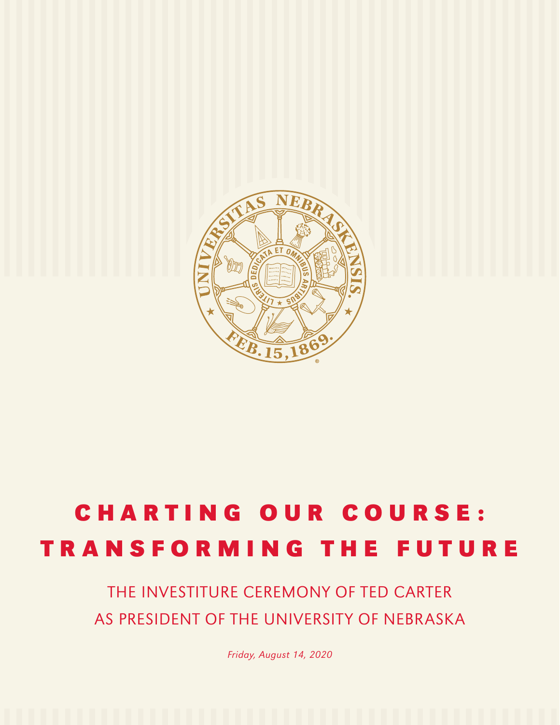

# CHARTING OUR COURSE: TRANSFORMING THE FUTURE

# THE INVESTITURE CEREMONY OF TED CARTER AS PRESIDENT OF THE UNIVERSITY OF NEBRASKA

*Friday, August 14, 2020*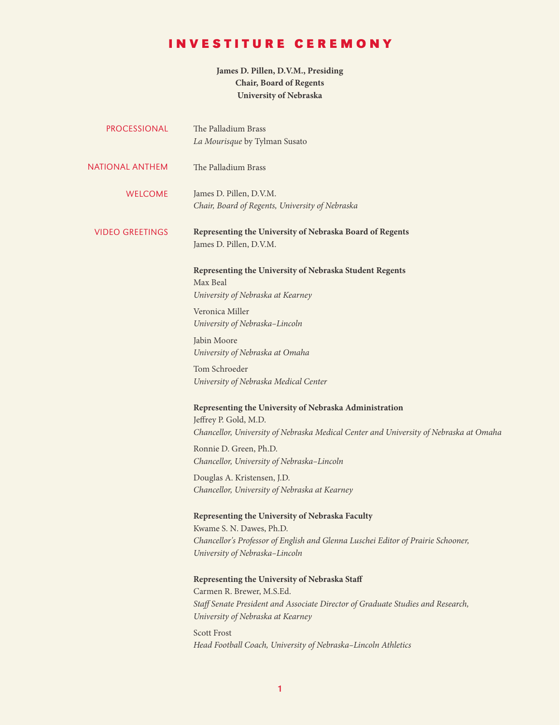# INVESTITURE CEREMONY

#### **James D. Pillen, D.V.M., Presiding Chair, Board of Regents University of Nebraska**

| <b>PROCESSIONAL</b>    | The Palladium Brass<br>La Mourisque by Tylman Susato                                                                                                                                               |
|------------------------|----------------------------------------------------------------------------------------------------------------------------------------------------------------------------------------------------|
| NATIONAL ANTHEM        | The Palladium Brass                                                                                                                                                                                |
| <b>WELCOME</b>         | James D. Pillen, D.V.M.<br>Chair, Board of Regents, University of Nebraska                                                                                                                         |
| <b>VIDEO GREETINGS</b> | Representing the University of Nebraska Board of Regents<br>James D. Pillen, D.V.M.                                                                                                                |
|                        | Representing the University of Nebraska Student Regents<br>Max Beal<br>University of Nebraska at Kearney                                                                                           |
|                        | Veronica Miller<br>University of Nebraska-Lincoln                                                                                                                                                  |
|                        | Jabin Moore<br>University of Nebraska at Omaha                                                                                                                                                     |
|                        | Tom Schroeder<br>University of Nebraska Medical Center                                                                                                                                             |
|                        | Representing the University of Nebraska Administration<br>Jeffrey P. Gold, M.D.<br>Chancellor, University of Nebraska Medical Center and University of Nebraska at Omaha                           |
|                        | Ronnie D. Green, Ph.D.<br>Chancellor, University of Nebraska-Lincoln                                                                                                                               |
|                        | Douglas A. Kristensen, J.D.<br>Chancellor, University of Nebraska at Kearney                                                                                                                       |
|                        | Representing the University of Nebraska Faculty<br>Kwame S. N. Dawes, Ph.D.<br>Chancellor's Professor of English and Glenna Luschei Editor of Prairie Schooner,<br>University of Nebraska-Lincoln  |
|                        | Representing the University of Nebraska Staff<br>Carmen R. Brewer, M.S.Ed.<br>Staff Senate President and Associate Director of Graduate Studies and Research,<br>University of Nebraska at Kearney |
|                        | <b>Scott Frost</b><br>Head Football Coach, University of Nebraska-Lincoln Athletics                                                                                                                |
|                        |                                                                                                                                                                                                    |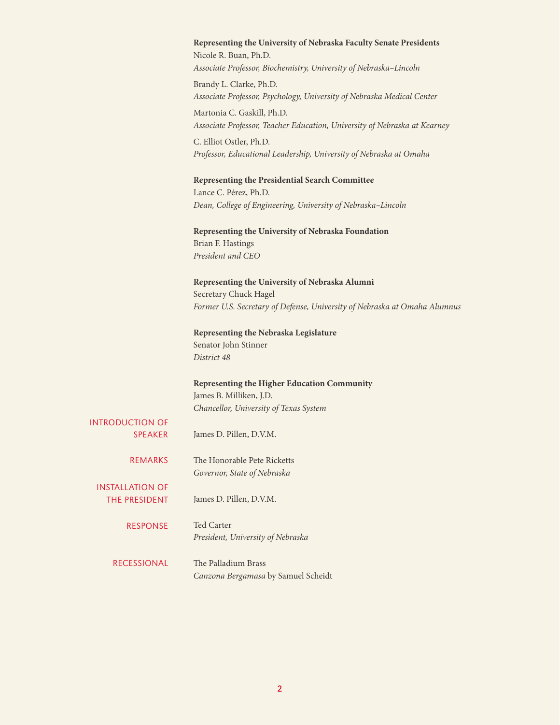|                                          | Representing the University of Nebraska Faculty Senate Presidents<br>Nicole R. Buan, Ph.D.<br>Associate Professor, Biochemistry, University of Nebraska-Lincoln |
|------------------------------------------|-----------------------------------------------------------------------------------------------------------------------------------------------------------------|
|                                          | Brandy L. Clarke, Ph.D.<br>Associate Professor, Psychology, University of Nebraska Medical Center                                                               |
|                                          | Martonia C. Gaskill, Ph.D.<br>Associate Professor, Teacher Education, University of Nebraska at Kearney                                                         |
|                                          | C. Elliot Ostler, Ph.D.<br>Professor, Educational Leadership, University of Nebraska at Omaha                                                                   |
|                                          | <b>Representing the Presidential Search Committee</b><br>Lance C. Pérez, Ph.D.                                                                                  |
|                                          | Dean, College of Engineering, University of Nebraska-Lincoln                                                                                                    |
|                                          | Representing the University of Nebraska Foundation<br>Brian F. Hastings<br>President and CEO                                                                    |
|                                          | Representing the University of Nebraska Alumni<br>Secretary Chuck Hagel<br>Former U.S. Secretary of Defense, University of Nebraska at Omaha Alumnus            |
|                                          | Representing the Nebraska Legislature<br>Senator John Stinner<br>District 48                                                                                    |
|                                          | Representing the Higher Education Community<br>James B. Milliken, J.D.                                                                                          |
| <b>INTRODUCTION OF</b><br><b>SPEAKER</b> | Chancellor, University of Texas System<br>James D. Pillen, D.V.M.                                                                                               |
| <b>REMARKS</b>                           | The Honorable Pete Ricketts<br>Governor, State of Nebraska                                                                                                      |
| <b>INSTALLATION OF</b><br>THE PRESIDENT  | James D. Pillen, D.V.M.                                                                                                                                         |
| RESPONSE                                 | Ted Carter<br>President, University of Nebraska                                                                                                                 |
| <b>RECESSIONAL</b>                       | The Palladium Brass<br>Canzona Bergamasa by Samuel Scheidt                                                                                                      |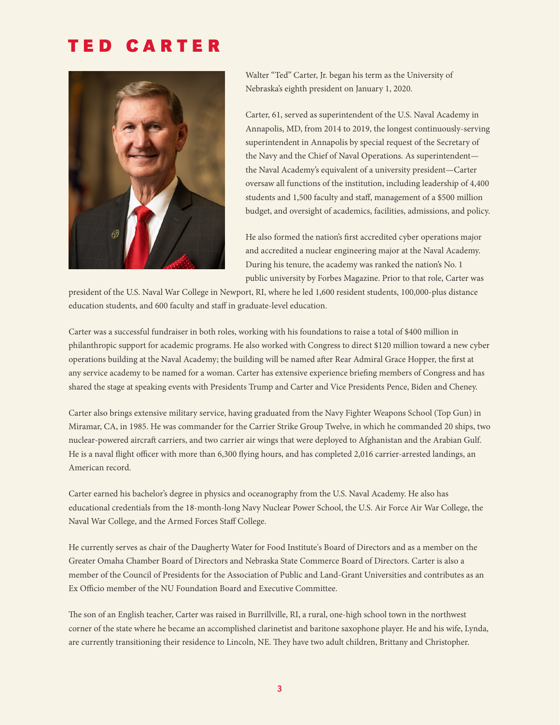# TED CARTER



Walter "Ted" Carter, Jr. began his term as the University of Nebraska's eighth president on January 1, 2020.

Carter, 61, served as superintendent of the U.S. Naval Academy in Annapolis, MD, from 2014 to 2019, the longest continuously-serving superintendent in Annapolis by special request of the Secretary of the Navy and the Chief of Naval Operations. As superintendent the Naval Academy's equivalent of a university president—Carter oversaw all functions of the institution, including leadership of 4,400 students and 1,500 faculty and staff, management of a \$500 million budget, and oversight of academics, facilities, admissions, and policy.

He also formed the nation's first accredited cyber operations major and accredited a nuclear engineering major at the Naval Academy. During his tenure, the academy was ranked the nation's No. 1 public university by Forbes Magazine. Prior to that role, Carter was

president of the U.S. Naval War College in Newport, RI, where he led 1,600 resident students, 100,000-plus distance education students, and 600 faculty and staff in graduate-level education.

Carter was a successful fundraiser in both roles, working with his foundations to raise a total of \$400 million in philanthropic support for academic programs. He also worked with Congress to direct \$120 million toward a new cyber operations building at the Naval Academy; the building will be named after Rear Admiral Grace Hopper, the first at any service academy to be named for a woman. Carter has extensive experience briefing members of Congress and has shared the stage at speaking events with Presidents Trump and Carter and Vice Presidents Pence, Biden and Cheney.

Carter also brings extensive military service, having graduated from the Navy Fighter Weapons School (Top Gun) in Miramar, CA, in 1985. He was commander for the Carrier Strike Group Twelve, in which he commanded 20 ships, two nuclear-powered aircraft carriers, and two carrier air wings that were deployed to Afghanistan and the Arabian Gulf. He is a naval flight officer with more than 6,300 flying hours, and has completed 2,016 carrier-arrested landings, an American record.

Carter earned his bachelor's degree in physics and oceanography from the U.S. Naval Academy. He also has educational credentials from the 18-month-long Navy Nuclear Power School, the U.S. Air Force Air War College, the Naval War College, and the Armed Forces Staff College.

He currently serves as chair of the Daugherty Water for Food Institute's Board of Directors and as a member on the Greater Omaha Chamber Board of Directors and Nebraska State Commerce Board of Directors. Carter is also a member of the Council of Presidents for the Association of Public and Land-Grant Universities and contributes as an Ex Officio member of the NU Foundation Board and Executive Committee.

The son of an English teacher, Carter was raised in Burrillville, RI, a rural, one-high school town in the northwest corner of the state where he became an accomplished clarinetist and baritone saxophone player. He and his wife, Lynda, are currently transitioning their residence to Lincoln, NE. They have two adult children, Brittany and Christopher.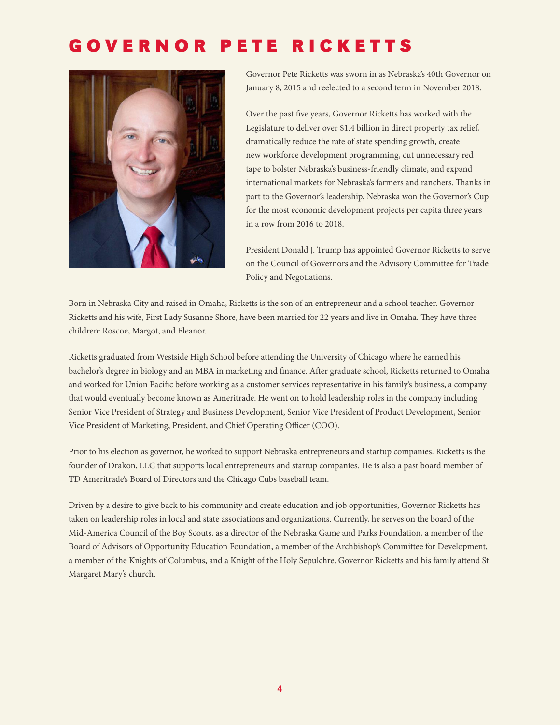# GOVERNOR PETE RICKETTS



Governor Pete Ricketts was sworn in as Nebraska's 40th Governor on January 8, 2015 and reelected to a second term in November 2018.

Over the past five years, Governor Ricketts has worked with the Legislature to deliver over \$1.4 billion in direct property tax relief, dramatically reduce the rate of state spending growth, create new workforce development programming, cut unnecessary red tape to bolster Nebraska's business-friendly climate, and expand international markets for Nebraska's farmers and ranchers. Thanks in part to the Governor's leadership, Nebraska won the Governor's Cup for the most economic development projects per capita three years in a row from 2016 to 2018.

President Donald J. Trump has appointed Governor Ricketts to serve on the Council of Governors and the Advisory Committee for Trade Policy and Negotiations.

Born in Nebraska City and raised in Omaha, Ricketts is the son of an entrepreneur and a school teacher. Governor Ricketts and his wife, First Lady Susanne Shore, have been married for 22 years and live in Omaha. They have three children: Roscoe, Margot, and Eleanor.

Ricketts graduated from Westside High School before attending the University of Chicago where he earned his bachelor's degree in biology and an MBA in marketing and finance. After graduate school, Ricketts returned to Omaha and worked for Union Pacific before working as a customer services representative in his family's business, a company that would eventually become known as Ameritrade. He went on to hold leadership roles in the company including Senior Vice President of Strategy and Business Development, Senior Vice President of Product Development, Senior Vice President of Marketing, President, and Chief Operating Officer (COO).

Prior to his election as governor, he worked to support Nebraska entrepreneurs and startup companies. Ricketts is the founder of Drakon, LLC that supports local entrepreneurs and startup companies. He is also a past board member of TD Ameritrade's Board of Directors and the Chicago Cubs baseball team.

Driven by a desire to give back to his community and create education and job opportunities, Governor Ricketts has taken on leadership roles in local and state associations and organizations. Currently, he serves on the board of the Mid-America Council of the Boy Scouts, as a director of the Nebraska Game and Parks Foundation, a member of the Board of Advisors of Opportunity Education Foundation, a member of the Archbishop's Committee for Development, a member of the Knights of Columbus, and a Knight of the Holy Sepulchre. Governor Ricketts and his family attend St. Margaret Mary's church.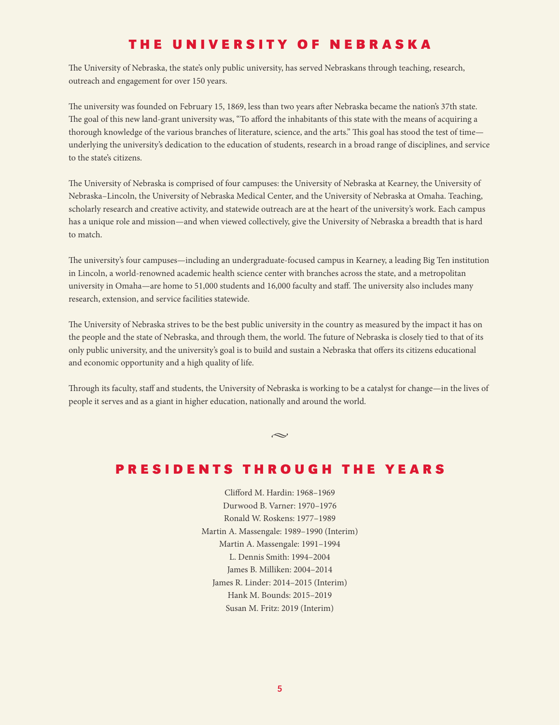## THE UNIVERSITY OF NEBRASKA

The University of Nebraska, the state's only public university, has served Nebraskans through teaching, research, outreach and engagement for over 150 years.

The university was founded on February 15, 1869, less than two years after Nebraska became the nation's 37th state. The goal of this new land-grant university was, "To afford the inhabitants of this state with the means of acquiring a thorough knowledge of the various branches of literature, science, and the arts." This goal has stood the test of time underlying the university's dedication to the education of students, research in a broad range of disciplines, and service to the state's citizens.

The University of Nebraska is comprised of four campuses: the University of Nebraska at Kearney, the University of Nebraska–Lincoln, the University of Nebraska Medical Center, and the University of Nebraska at Omaha. Teaching, scholarly research and creative activity, and statewide outreach are at the heart of the university's work. Each campus has a unique role and mission—and when viewed collectively, give the University of Nebraska a breadth that is hard to match.

The university's four campuses—including an undergraduate-focused campus in Kearney, a leading Big Ten institution in Lincoln, a world-renowned academic health science center with branches across the state, and a metropolitan university in Omaha—are home to 51,000 students and 16,000 faculty and staff. The university also includes many research, extension, and service facilities statewide.

The University of Nebraska strives to be the best public university in the country as measured by the impact it has on the people and the state of Nebraska, and through them, the world. The future of Nebraska is closely tied to that of its only public university, and the university's goal is to build and sustain a Nebraska that offers its citizens educational and economic opportunity and a high quality of life.

Through its faculty, staff and students, the University of Nebraska is working to be a catalyst for change—in the lives of people it serves and as a giant in higher education, nationally and around the world.

#### $\sim$

# PRESIDENTS THROUGH THE YEARS

Clifford M. Hardin: 1968-1969 Durwood B. Varner: 1970–1976 Ronald W. Roskens: 1977–1989 Martin A. Massengale: 1989–1990 (Interim) Martin A. Massengale: 1991–1994 L. Dennis Smith: 1994–2004 James B. Milliken: 2004–2014 James R. Linder: 2014–2015 (Interim) Hank M. Bounds: 2015–2019 Susan M. Fritz: 2019 (Interim)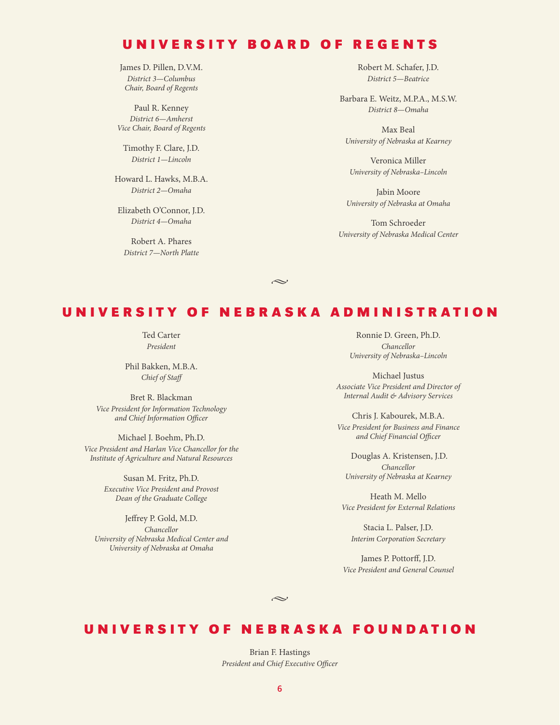#### UNIVERSITY BOARD OF REGENTS

James D. Pillen, D.V.M. *District 3—Columbus Chair, Board of Regents*

Paul R. Kenney *District 6—Amherst Vice Chair, Board of Regents*

Timothy F. Clare, J.D. *District 1—Lincoln*

Howard L. Hawks, M.B.A. *District 2—Omaha*

Elizabeth O'Connor, J.D. *District 4—Omaha*

Robert A. Phares *District 7—North Platte* Robert M. Schafer, J.D. *District 5—Beatrice*

Barbara E. Weitz, M.P.A., M.S.W. *District 8—Omaha*

Max Beal *University of Nebraska at Kearney*

Veronica Miller *University of Nebraska–Lincoln*

Jabin Moore *University of Nebraska at Omaha*

Tom Schroeder *University of Nebraska Medical Center*

#### UNIVERSITY OF NEBRASKA ADMINISTRATION

 $\sim$ 

Ted Carter *President*

Phil Bakken, M.B.A. **Chief of Staff** 

Bret R. Blackman *Vice President for Information Technology and Chief Information O*"*cer*

Michael J. Boehm, Ph.D. *Vice President and Harlan Vice Chancellor for the Institute of Agriculture and Natural Resources*

> Susan M. Fritz, Ph.D. *Executive Vice President and Provost Dean of the Graduate College*

Jeffrey P. Gold, M.D. *Chancellor University of Nebraska Medical Center and University of Nebraska at Omaha*

Ronnie D. Green, Ph.D. *Chancellor University of Nebraska–Lincoln*

Michael Justus *Associate Vice President and Director of Internal Audit & Advisory Services*

Chris J. Kabourek, M.B.A. *Vice President for Business and Finance and Chief Financial O*"*cer*

 Douglas A. Kristensen, J.D. *Chancellor University of Nebraska at Kearney*

Heath M. Mello *Vice President for External Relations*

Stacia L. Palser, J.D. *Interim Corporation Secretary*

James P. Pottorff, J.D. *Vice President and General Counsel*

 $\sim$ 

### UNIVERSITY OF NEBRASKA FOUNDATION

Brian F. Hastings **President and Chief Executive Officer**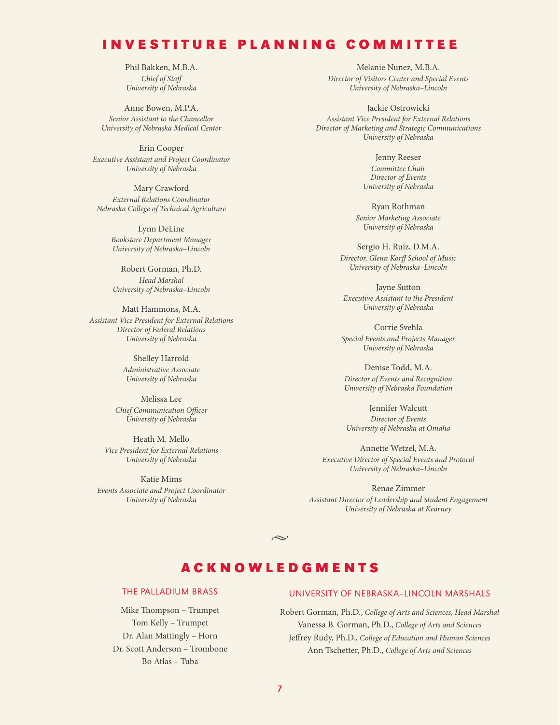#### INVESTITURE PLANNING COMMITTEE

Phil Bakken, M.B.A. *Chief of Sta*! *University of Nebraska*

Anne Bowen, M.P.A. *Senior Assistant to the Chancellor University of Nebraska Medical Center*

Erin Cooper *Executive Assistant and Project Coordinator University of Nebraska*

Mary Crawford *External Relations Coordinator Nebraska College of Technical Agriculture*

> Lynn DeLine *Bookstore Department Manager University of Nebraska–Lincoln*

Robert Gorman, Ph.D. *Head Marshal University of Nebraska–Lincoln* 

Matt Hammons, M.A. *Assistant Vice President for External Relations Director of Federal Relations University of Nebraska*

> Shelley Harrold *Administrative Associate University of Nebraska*

Melissa Lee **Chief Communication Officer** *University of Nebraska*

Heath M. Mello *Vice President for External Relations University of Nebraska*

Katie Mims *Events Associate and Project Coordinator University of Nebraska*

Melanie Nunez, M.B.A. *Director of Visitors Center and Special Events University of Nebraska–Lincoln* 

Jackie Ostrowicki *Assistant Vice President for External Relations Director of Marketing and Strategic Communications University of Nebraska*

> Jenny Reeser *Committee Chair Director of Events University of Nebraska*

Ryan Rothman *Senior Marketing Associate University of Nebraska*

Sergio H. Ruiz, D.M.A. *Director, Glenn Kor*! *School of Music University of Nebraska–Lincoln*

Jayne Sutton *Executive Assistant to the President University of Nebraska*

Corrie Svehla *Special Events and Projects Manager University of Nebraska*

Denise Todd, M.A. *Director of Events and Recognition University of Nebraska Foundation*

Jennifer Walcutt *Director of Events University of Nebraska at Omaha* 

Annette Wetzel, M.A. *Executive Director of Special Events and Protocol University of Nebraska–Lincoln*

Renae Zimmer *Assistant Director of Leadership and Student Engagement University of Nebraska at Kearney*

## ACKNOWLEDGMENTS

 $\sim$ 

#### THE PALLADIUM BRASS

Mike Thompson – Trumpet Tom Kelly – Trumpet Dr. Alan Mattingly – Horn Dr. Scott Anderson – Trombone Bo Atlas – Tuba

#### UNIVERSITY OF NEBRASKA–LINCOLN MARSHALS

Robert Gorman, Ph.D., *College of Arts and Sciences, Head Marshal* Vanessa B. Gorman, Ph.D., *College of Arts and Sciences* Jeffrey Rudy, Ph.D., *College of Education and Human Sciences* Ann Tschetter, Ph.D., *College of Arts and Sciences*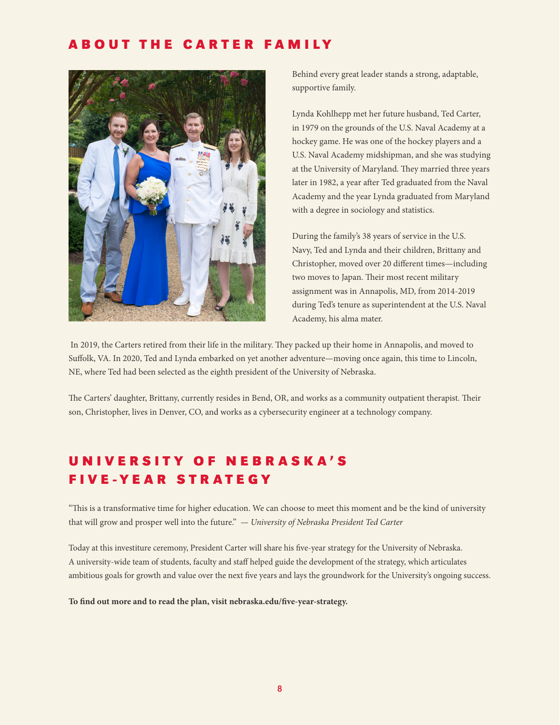### ABOUT THE CARTER FAMILY



Behind every great leader stands a strong, adaptable, supportive family.

Lynda Kohlhepp met her future husband, Ted Carter, in 1979 on the grounds of the U.S. Naval Academy at a hockey game. He was one of the hockey players and a U.S. Naval Academy midshipman, and she was studying at the University of Maryland. They married three years later in 1982, a year after Ted graduated from the Naval Academy and the year Lynda graduated from Maryland with a degree in sociology and statistics.

During the family's 38 years of service in the U.S. Navy, Ted and Lynda and their children, Brittany and Christopher, moved over 20 different times—including two moves to Japan. Their most recent military assignment was in Annapolis, MD, from 2014-2019 during Ted's tenure as superintendent at the U.S. Naval Academy, his alma mater.

In 2019, the Carters retired from their life in the military. They packed up their home in Annapolis, and moved to Suffolk, VA. In 2020, Ted and Lynda embarked on yet another adventure—moving once again, this time to Lincoln, NE, where Ted had been selected as the eighth president of the University of Nebraska.

The Carters' daughter, Brittany, currently resides in Bend, OR, and works as a community outpatient therapist. Their son, Christopher, lives in Denver, CO, and works as a cybersecurity engineer at a technology company.

# U N I V E R S I T Y O F N E B R A S K A ' S FIVE-YEAR STRATEGY

"This is a transformative time for higher education. We can choose to meet this moment and be the kind of university that will grow and prosper well into the future." *— University of Nebraska President Ted Carter* 

Today at this investiture ceremony, President Carter will share his five-year strategy for the University of Nebraska. A university-wide team of students, faculty and staff helped guide the development of the strategy, which articulates ambitious goals for growth and value over the next five years and lays the groundwork for the University's ongoing success.

**To "nd out more and to read the plan, visit nebraska.edu/"ve-year-strategy.**